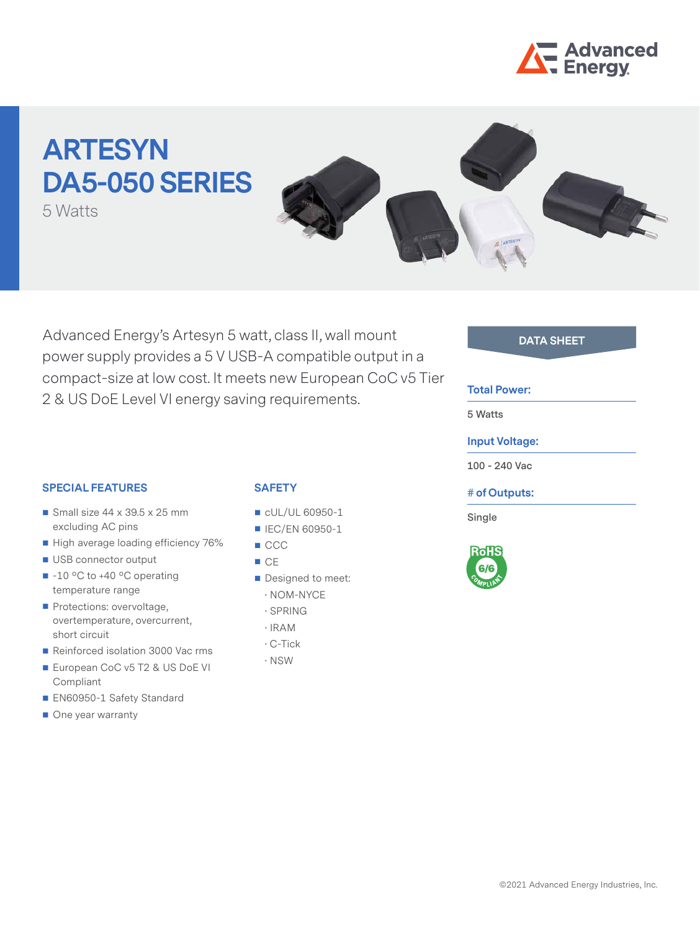

# **ARTESYN DA5-050 SERIES**

5 Watts



Advanced Energy's Artesyn 5 watt, class II, wall mount **DATA SHEET** power supply provides a 5 V USB-A compatible output in a compact-size at low cost. It meets new European CoC v5 Tier 2 & US DoE Level VI energy saving requirements.

#### **Total Power:**

**5 Watts**

## **Input Voltage:**

**100 - 240 Vac**

## **# of Outputs:**

**Single**



## **SPECIAL FEATURES**

- Small size  $44 \times 39.5 \times 25$  mm excluding AC pins
- High average loading efficiency 76%
- USB connector output
- -10 °C to +40 °C operating temperature range
- Protections: overvoltage, overtemperature, overcurrent, short circuit
- Reinforced isolation 3000 Vac rms
- European CoC v5 T2 & US DoE VI Compliant
- EN60950-1 Safety Standard
- One year warranty

# **SAFETY**

- CUL/UL 60950-1
- **IEC/EN 60950-1**
- CCC
- $C<sub>E</sub>$
- Designed to meet:
	- · NOM-NYCE
	- · SPRING
	- · IRAM
	- · C-Tick
	- · NSW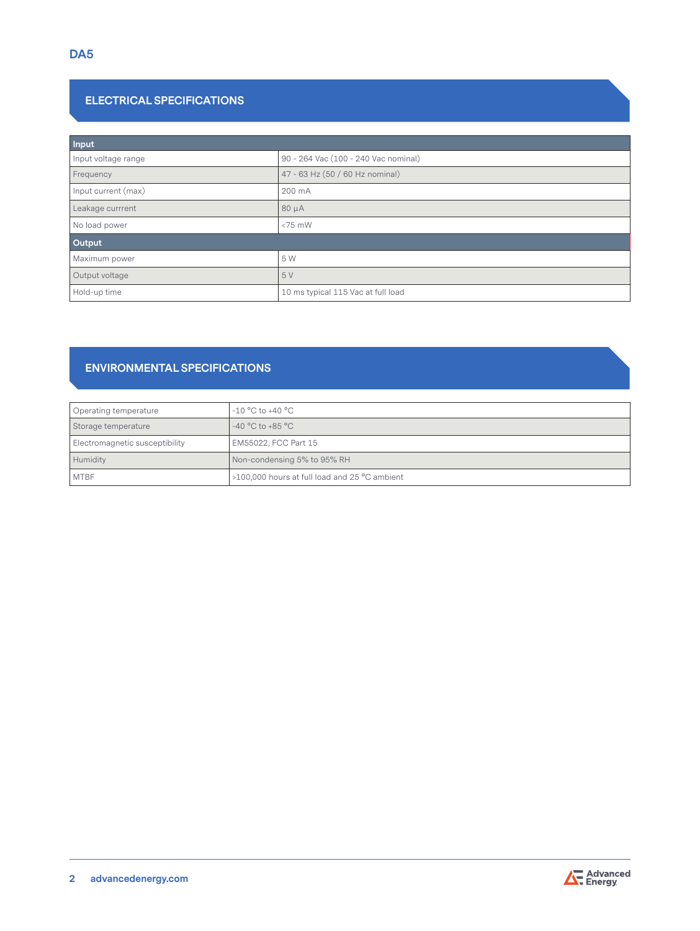# **ELECTRICAL SPECIFICATIONS**

| Input               |                                      |  |  |  |
|---------------------|--------------------------------------|--|--|--|
| Input voltage range | 90 - 264 Vac (100 - 240 Vac nominal) |  |  |  |
| Frequency           | 47 - 63 Hz (50 / 60 Hz nominal)      |  |  |  |
| Input current (max) | 200 mA                               |  |  |  |
| Leakage currrent    | $80 \mu A$                           |  |  |  |
| No load power       | $< 75$ mW                            |  |  |  |
| Output              |                                      |  |  |  |
| Maximum power       | 5 W                                  |  |  |  |
| Output voltage      | 5 V                                  |  |  |  |
| Hold-up time        | 10 ms typical 115 Vac at full load   |  |  |  |

# **ENVIRONMENTAL SPECIFICATIONS**

| Operating temperature          | $-10$ °C to +40 °C                                     |  |
|--------------------------------|--------------------------------------------------------|--|
| Storage temperature            | $-40\,^{\circ}\mathrm{C}$ to $+85\,^{\circ}\mathrm{C}$ |  |
| Electromagnetic susceptibility | EM55022, FCC Part 15                                   |  |
| Humidity                       | Non-condensing 5% to 95% RH                            |  |
| <b>MTBF</b>                    | >100,000 hours at full load and 25 °C ambient          |  |

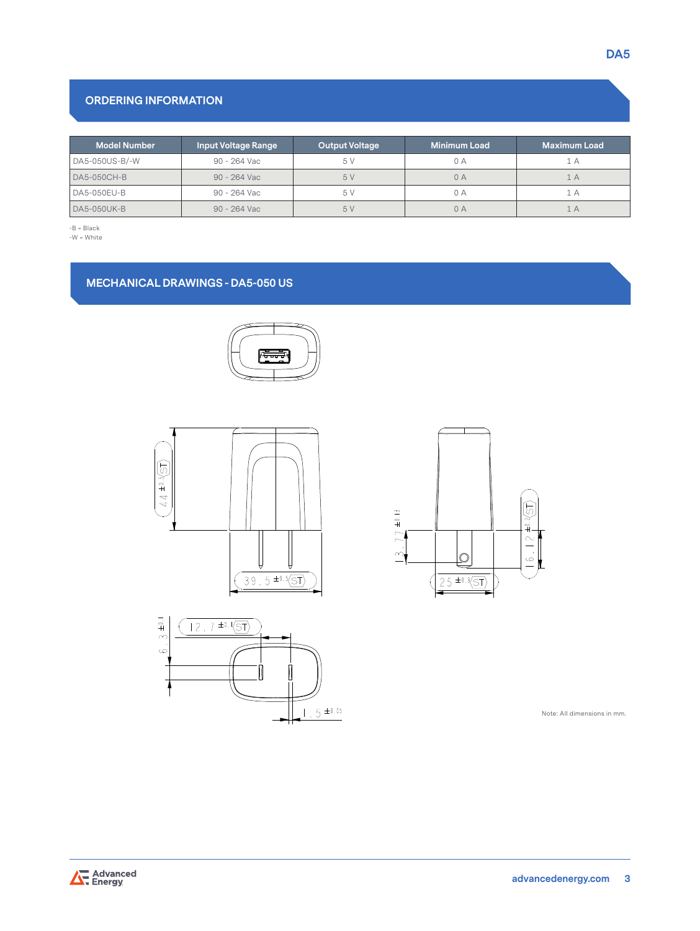# **ORDERING INFORMATION**

| <b>Model Number</b> | <b>Input Voltage Range</b> | <b>Output Voltage</b> | <b>Minimum Load</b> | <b>Maximum Load</b> |
|---------------------|----------------------------|-----------------------|---------------------|---------------------|
| DA5-050US-B/-W      | 90 - 264 Vac               | 5V                    | 0 A                 | Ά                   |
| DA5-050CH-B         | 90 - 264 Vac               | 5V                    | 0A                  | A                   |
| DA5-050EU-B         | $90 - 264$ Vac             | 5 V                   | 0 A                 | Α                   |
| <b>DA5-050UK-B</b>  | 90 - 264 Vac               | 5V                    | 0A                  | $\Delta$            |

-B = Black

#### -W = White

# **MECHANICAL DRAWINGS - DA5-050 US**









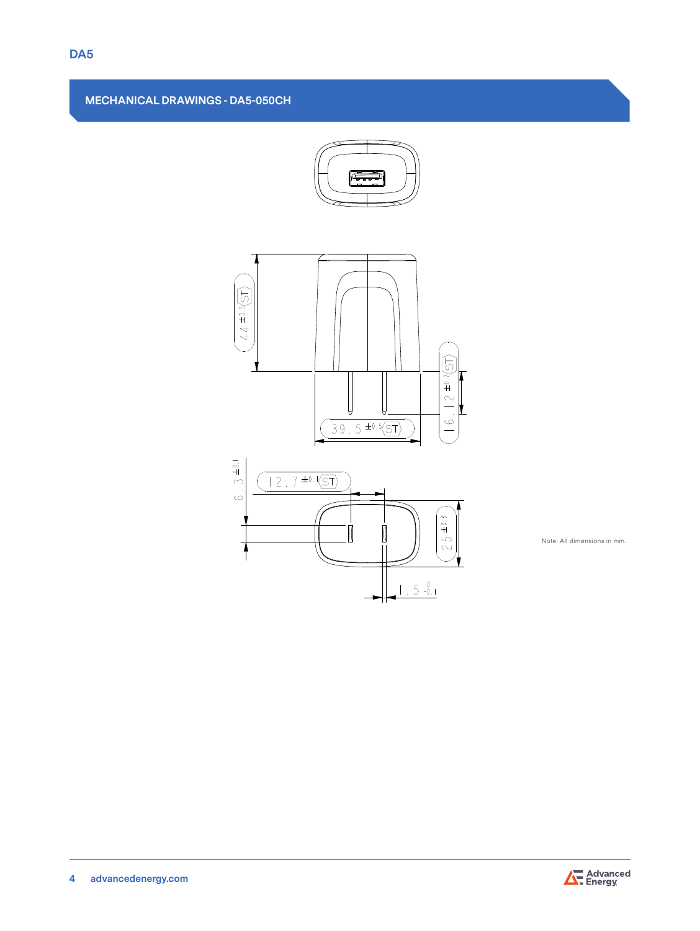# **MECHANICAL DRAWINGS - DA5-050CH**





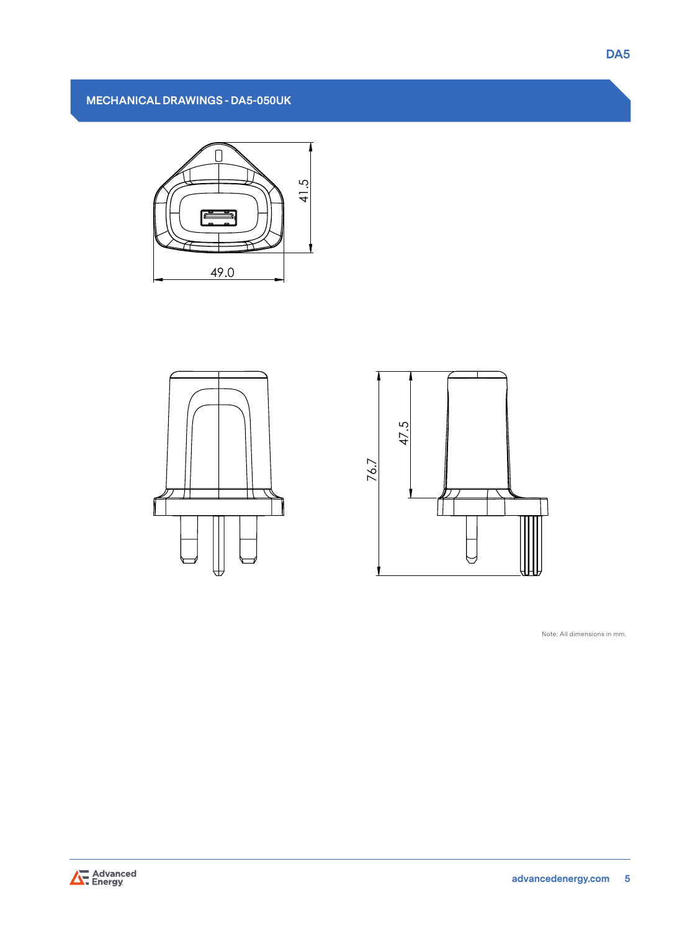





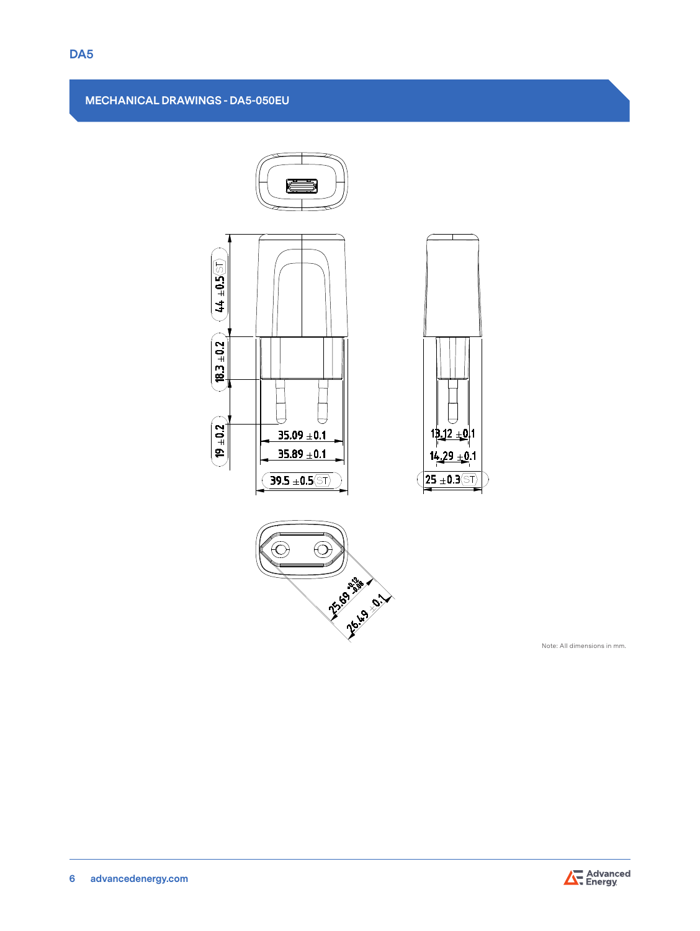# **MECHANICAL DRAWINGS - DA5-050EU**